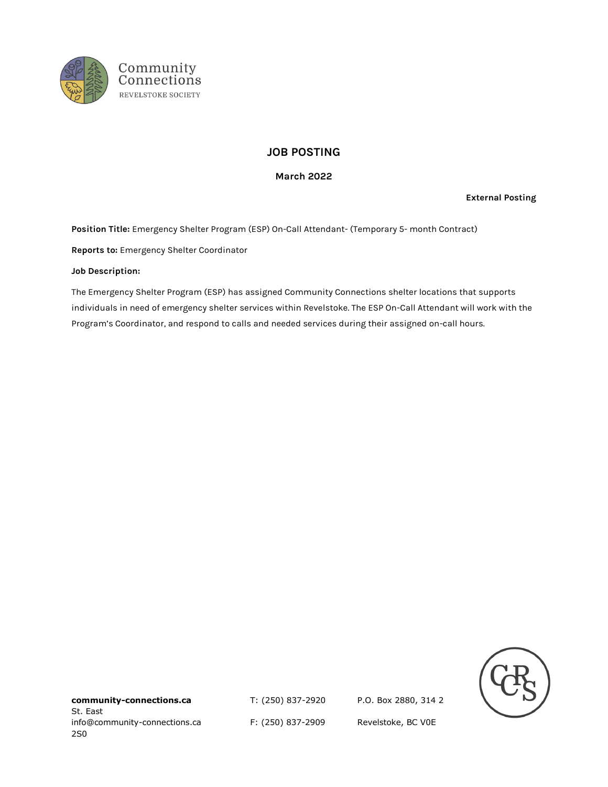

# **JOB POSTING**

# **March 2022**

**External Posting**

**Position Title:** Emergency Shelter Program (ESP) On-Call Attendant- (Temporary 5- month Contract)

**Reports to:** Emergency Shelter Coordinator

#### **Job Description:**

The Emergency Shelter Program (ESP) has assigned Community Connections shelter locations that supports individuals in need of emergency shelter services within Revelstoke. The ESP On-Call Attendant will work with the Program's Coordinator, and respond to calls and needed services during their assigned on-call hours.



**community-connections.ca** T: (250) 837-2920 P.O. Box 2880, 314 2 St. East info@community-connections.ca F: (250) 837-2909 Revelstoke, BC V0E 2S0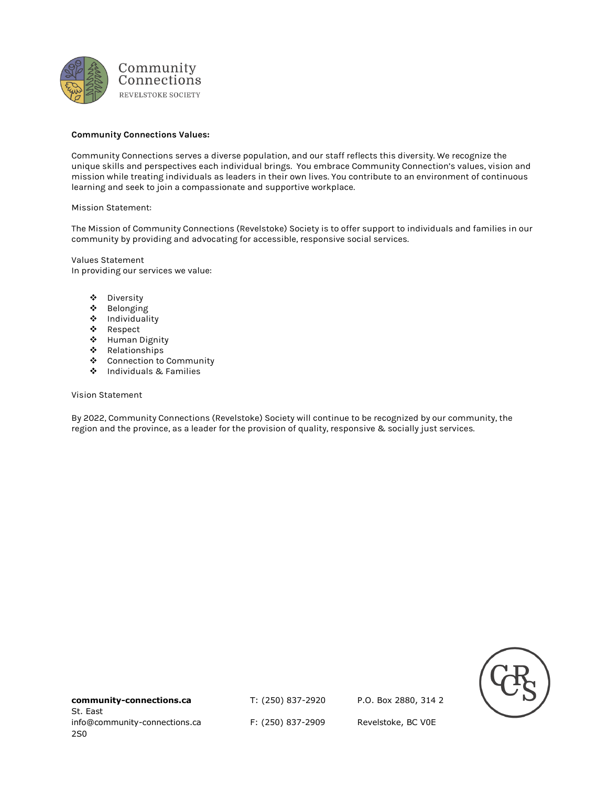

### **Community Connections Values:**

Community Connections serves a diverse population, and our staff reflects this diversity. We recognize the unique skills and perspectives each individual brings. You embrace Community Connection's values, vision and mission while treating individuals as leaders in their own lives. You contribute to an environment of continuous learning and seek to join a compassionate and supportive workplace.

#### Mission Statement:

The Mission of Community Connections (Revelstoke) Society is to offer support to individuals and families in our community by providing and advocating for accessible, responsive social services.

Values Statement In providing our services we value:

- ❖ Diversity
- ❖ Belonging
- ❖ Individuality
- ❖ Respect
- ❖ Human Dignity
- ❖ Relationships
- ❖ Connection to Community
- ❖ Individuals & Families

#### Vision Statement

By 2022, Community Connections (Revelstoke) Society will continue to be recognized by our community, the region and the province, as a leader for the provision of quality, responsive & socially just services.



**community-connections.ca** T: (250) 837-2920 P.O. Box 2880, 314 2 St. East info@community-connections.ca F: (250) 837-2909 Revelstoke, BC V0E 2S0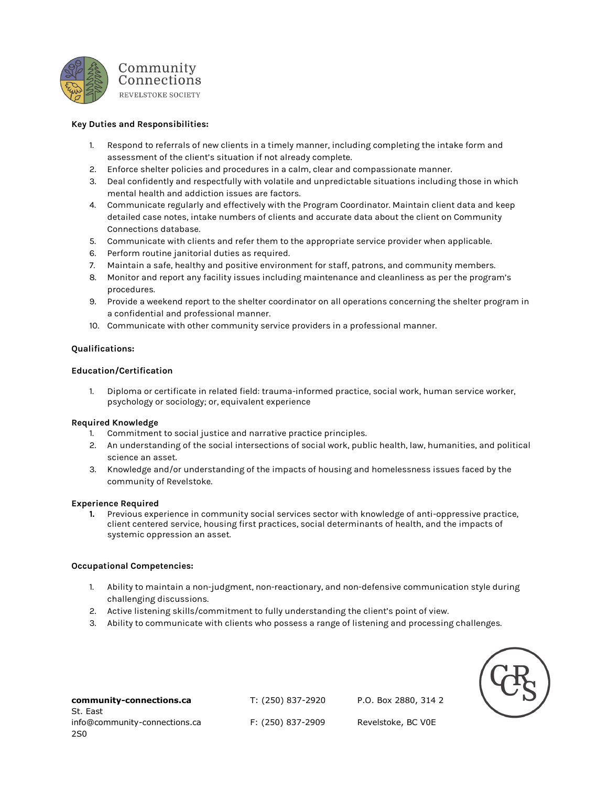

# **Key Duties and Responsibilities:**

- 1. Respond to referrals of new clients in a timely manner, including completing the intake form and assessment of the client's situation if not already complete.
- 2. Enforce shelter policies and procedures in a calm, clear and compassionate manner.
- 3. Deal confidently and respectfully with volatile and unpredictable situations including those in which mental health and addiction issues are factors.
- 4. Communicate regularly and effectively with the Program Coordinator. Maintain client data and keep detailed case notes, intake numbers of clients and accurate data about the client on Community Connections database.
- 5. Communicate with clients and refer them to the appropriate service provider when applicable.
- 6. Perform routine janitorial duties as required.
- 7. Maintain a safe, healthy and positive environment for staff, patrons, and community members.
- 8. Monitor and report any facility issues including maintenance and cleanliness as per the program's procedures.
- 9. Provide a weekend report to the shelter coordinator on all operations concerning the shelter program in a confidential and professional manner.
- 10. Communicate with other community service providers in a professional manner.

# **Qualifications:**

#### **Education/Certification**

1. Diploma or certificate in related field: trauma-informed practice, social work, human service worker, psychology or sociology; or, equivalent experience

#### **Required Knowledge**

- 1. Commitment to social justice and narrative practice principles.
- 2. An understanding of the social intersections of social work, public health, law, humanities, and political science an asset.
- 3. Knowledge and/or understanding of the impacts of housing and homelessness issues faced by the community of Revelstoke.

#### **Experience Required**

**1.** Previous experience in community social services sector with knowledge of anti-oppressive practice, client centered service, housing first practices, social determinants of health, and the impacts of systemic oppression an asset.

# **Occupational Competencies:**

- 1. Ability to maintain a non-judgment, non-reactionary, and non-defensive communication style during challenging discussions.
- 2. Active listening skills/commitment to fully understanding the client's point of view.
- 3. Ability to communicate with clients who possess a range of listening and processing challenges.